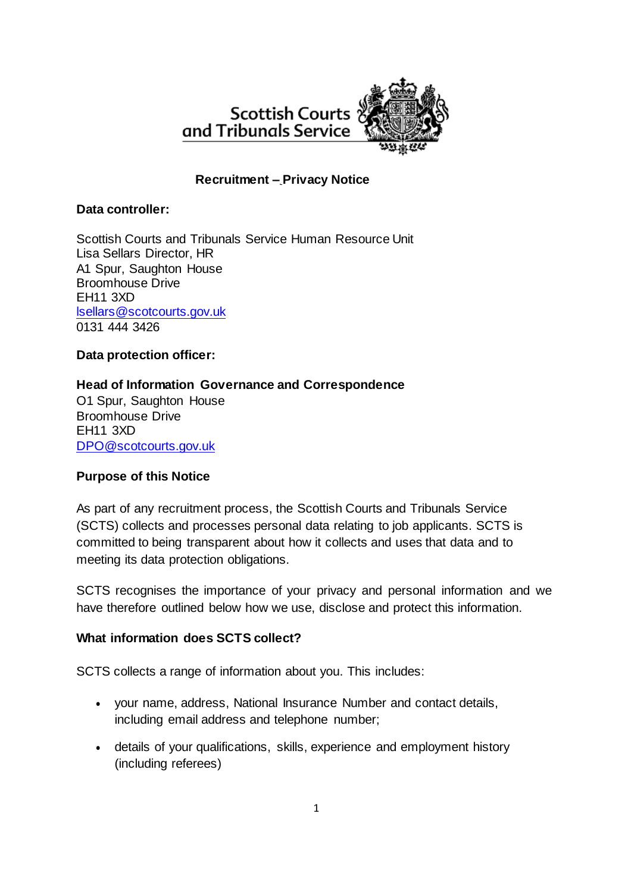

## **Recruitment – Privacy Notice**

#### **Data controller:**

Scottish Courts and Tribunals Service Human Resource Unit Lisa Sellars Director, HR A1 Spur, Saughton House Broomhouse Drive EH11 3XD [lsellars@scotcourts.gov.uk](mailto:lsellars@scotcourts.gov.uk) 0131 444 3426

#### **Data protection officer:**

### **Head of Information Governance and Correspondence**

O1 Spur, Saughton House Broomhouse Drive EH11 3XD [DPO@scotcourts.gov.uk](mailto:DPO@scotcourts.gov.uk)

#### **Purpose of this Notice**

As part of any recruitment process, the Scottish Courts and Tribunals Service (SCTS) collects and processes personal data relating to job applicants. SCTS is committed to being transparent about how it collects and uses that data and to meeting its data protection obligations.

SCTS recognises the importance of your privacy and personal information and we have therefore outlined below how we use, disclose and protect this information.

#### **What information does SCTS collect?**

SCTS collects a range of information about you. This includes:

- your name, address, National Insurance Number and contact details, including email address and telephone number;
- details of your qualifications, skills, experience and employment history (including referees)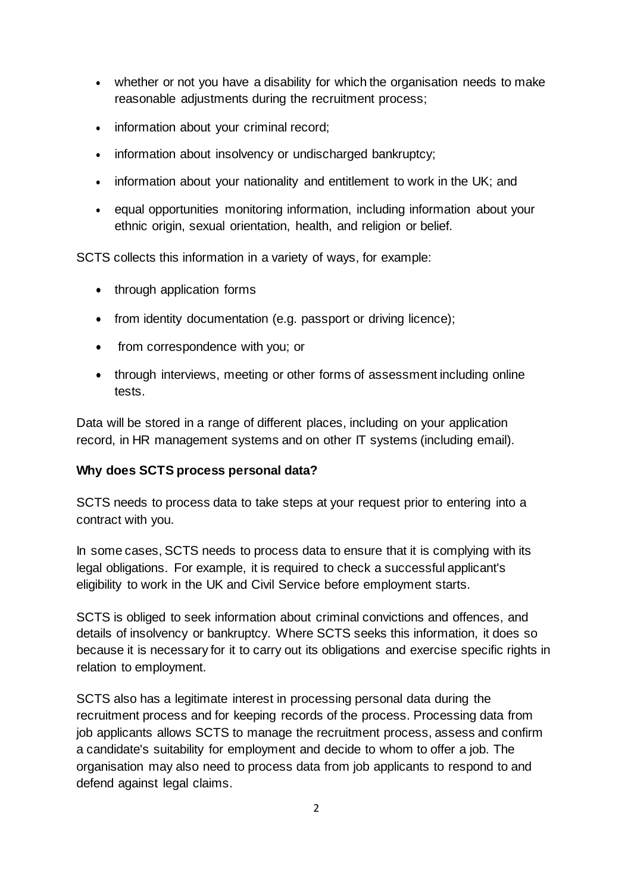- whether or not you have a disability for which the organisation needs to make reasonable adjustments during the recruitment process;
- information about your criminal record;
- information about insolvency or undischarged bankruptcy;
- information about your nationality and entitlement to work in the UK; and
- equal opportunities monitoring information, including information about your ethnic origin, sexual orientation, health, and religion or belief.

SCTS collects this information in a variety of ways, for example:

- through application forms
- from identity documentation (e.g. passport or driving licence);
- from correspondence with you; or
- through interviews, meeting or other forms of assessment including online tests.

Data will be stored in a range of different places, including on your application record, in HR management systems and on other IT systems (including email).

### **Why does SCTS process personal data?**

SCTS needs to process data to take steps at your request prior to entering into a contract with you.

In some cases, SCTS needs to process data to ensure that it is complying with its legal obligations. For example, it is required to check a successful applicant's eligibility to work in the UK and Civil Service before employment starts.

SCTS is obliged to seek information about criminal convictions and offences, and details of insolvency or bankruptcy. Where SCTS seeks this information, it does so because it is necessary for it to carry out its obligations and exercise specific rights in relation to employment.

SCTS also has a legitimate interest in processing personal data during the recruitment process and for keeping records of the process. Processing data from job applicants allows SCTS to manage the recruitment process, assess and confirm a candidate's suitability for employment and decide to whom to offer a job. The organisation may also need to process data from job applicants to respond to and defend against legal claims.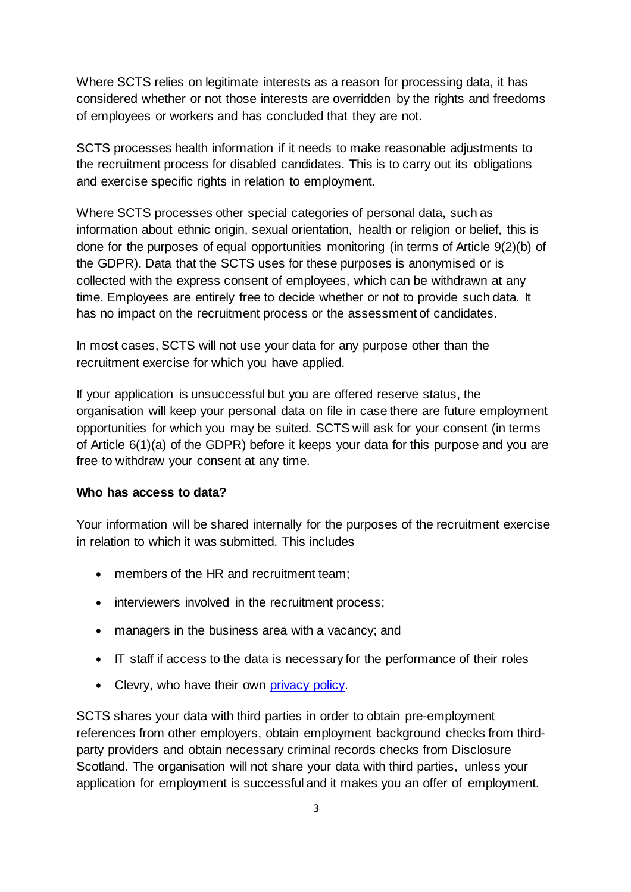Where SCTS relies on legitimate interests as a reason for processing data, it has considered whether or not those interests are overridden by the rights and freedoms of employees or workers and has concluded that they are not.

SCTS processes health information if it needs to make reasonable adjustments to the recruitment process for disabled candidates. This is to carry out its obligations and exercise specific rights in relation to employment.

Where SCTS processes other special categories of personal data, such as information about ethnic origin, sexual orientation, health or religion or belief, this is done for the purposes of equal opportunities monitoring (in terms of Article 9(2)(b) of the GDPR). Data that the SCTS uses for these purposes is anonymised or is collected with the express consent of employees, which can be withdrawn at any time. Employees are entirely free to decide whether or not to provide such data. It has no impact on the recruitment process or the assessment of candidates.

In most cases, SCTS will not use your data for any purpose other than the recruitment exercise for which you have applied.

If your application is unsuccessful but you are offered reserve status, the organisation will keep your personal data on file in case there are future employment opportunities for which you may be suited. SCTS will ask for your consent (in terms of Article 6(1)(a) of the GDPR) before it keeps your data for this purpose and you are free to withdraw your consent at any time.

#### **Who has access to data?**

Your information will be shared internally for the purposes of the recruitment exercise in relation to which it was submitted. This includes

- members of the HR and recruitment team;
- interviewers involved in the recruitment process;
- managers in the business area with a vacancy; and
- IT staff if access to the data is necessary for the performance of their roles
- Clevry, who have their own [privacy policy.](https://www.clevry.com/en/about/privacy)

SCTS shares your data with third parties in order to obtain pre-employment references from other employers, obtain employment background checks from thirdparty providers and obtain necessary criminal records checks from Disclosure Scotland. The organisation will not share your data with third parties, unless your application for employment is successful and it makes you an offer of employment.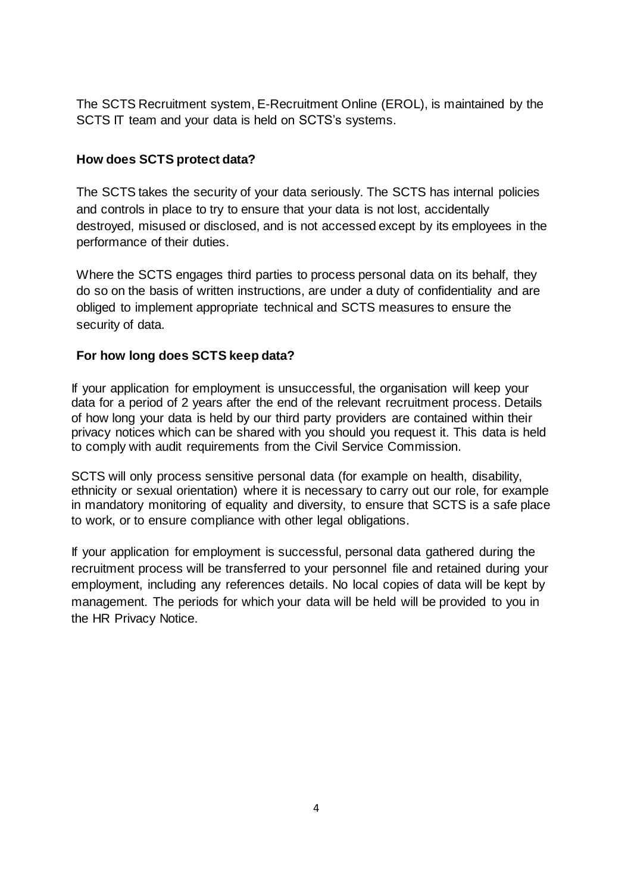The SCTS Recruitment system, E-Recruitment Online (EROL), is maintained by the SCTS IT team and your data is held on SCTS's systems.

# **How does SCTS protect data?**

The SCTS takes the security of your data seriously. The SCTS has internal policies and controls in place to try to ensure that your data is not lost, accidentally destroyed, misused or disclosed, and is not accessed except by its employees in the performance of their duties.

Where the SCTS engages third parties to process personal data on its behalf, they do so on the basis of written instructions, are under a duty of confidentiality and are obliged to implement appropriate technical and SCTS measures to ensure the security of data.

## **For how long does SCTS keep data?**

If your application for employment is unsuccessful, the organisation will keep your data for a period of 2 years after the end of the relevant recruitment process. Details of how long your data is held by our third party providers are contained within their privacy notices which can be shared with you should you request it. This data is held to comply with audit requirements from the Civil Service Commission.

SCTS will only process sensitive personal data (for example on health, disability, ethnicity or sexual orientation) where it is necessary to carry out our role, for example in mandatory monitoring of equality and diversity, to ensure that SCTS is a safe place to work, or to ensure compliance with other legal obligations.

If your application for employment is successful, personal data gathered during the recruitment process will be transferred to your personnel file and retained during your employment, including any references details. No local copies of data will be kept by management. The periods for which your data will be held will be provided to you in the HR Privacy Notice.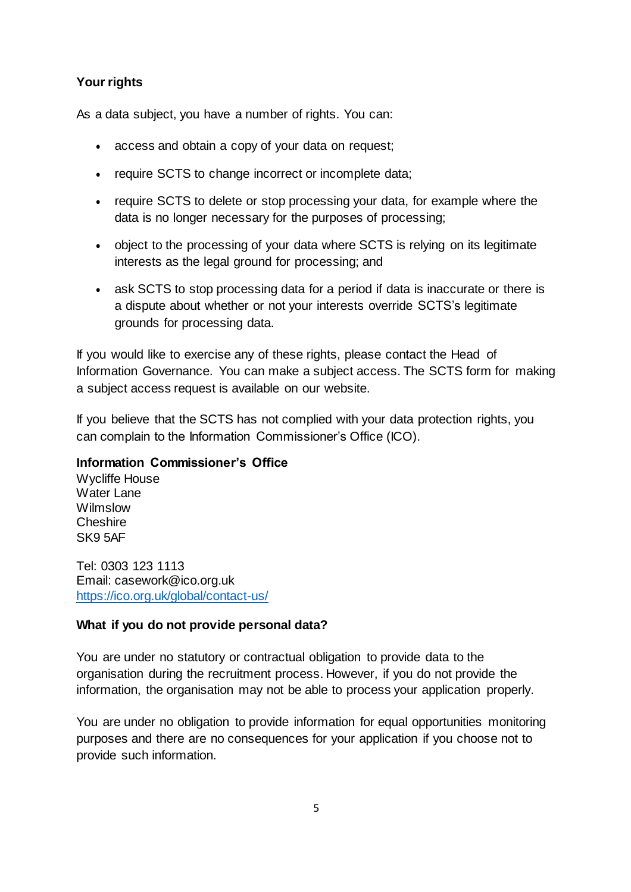## **Your rights**

As a data subject, you have a number of rights. You can:

- access and obtain a copy of your data on request;
- require SCTS to change incorrect or incomplete data:
- require SCTS to delete or stop processing your data, for example where the data is no longer necessary for the purposes of processing;
- object to the processing of your data where SCTS is relying on its legitimate interests as the legal ground for processing; and
- ask SCTS to stop processing data for a period if data is inaccurate or there is a dispute about whether or not your interests override SCTS's legitimate grounds for processing data.

If you would like to exercise any of these rights, please contact the Head of Information Governance. You can make a subject access. The SCTS form for making a subject access request is available on our website.

If you believe that the SCTS has not complied with your data protection rights, you can complain to the Information Commissioner's Office (ICO).

### **Information Commissioner's Office**

Wycliffe House Water Lane Wilmslow **Cheshire** SK9 5AF

Tel: 0303 123 1113 Email: [casework@ico.org.uk](mailto:casework@ico.org.uk) https://ico.org.uk/global/contact-us/

### **What if you do not provide personal data?**

You are under no statutory or contractual obligation to provide data to the organisation during the recruitment process. However, if you do not provide the information, the organisation may not be able to process your application properly.

You are under no obligation to provide information for equal opportunities monitoring purposes and there are no consequences for your application if you choose not to provide such information.